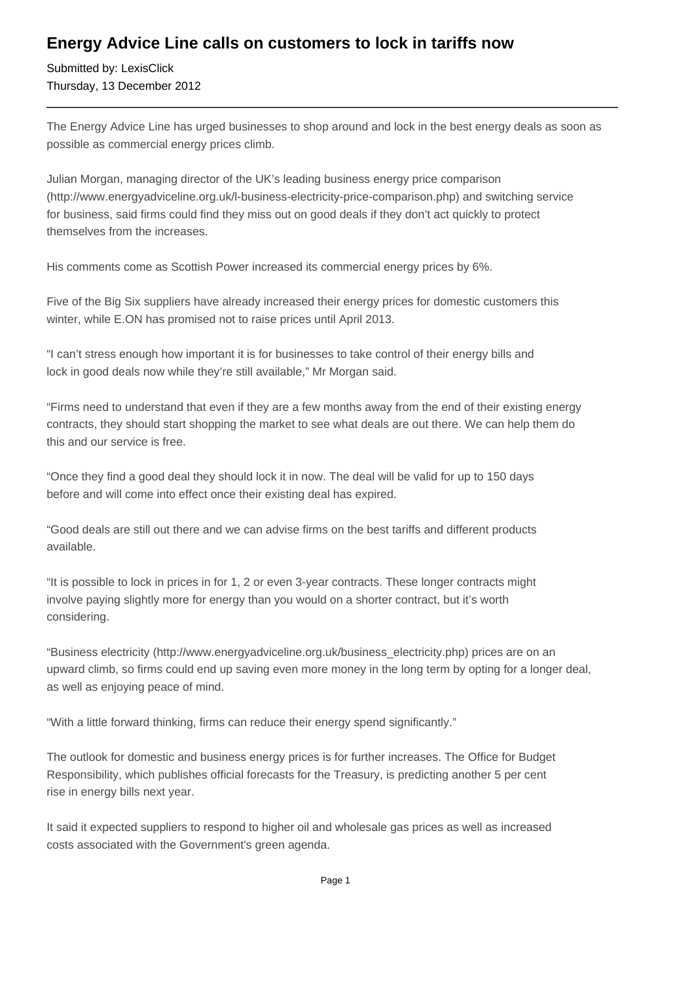## **Energy Advice Line calls on customers to lock in tariffs now**

Submitted by: LexisClick Thursday, 13 December 2012

The Energy Advice Line has urged businesses to shop around and lock in the best energy deals as soon as possible as commercial energy prices climb.

Julian Morgan, managing director of the UK's leading business energy price comparison (http://www.energyadviceline.org.uk/l-business-electricity-price-comparison.php) and switching service for business, said firms could find they miss out on good deals if they don't act quickly to protect themselves from the increases.

His comments come as Scottish Power increased its commercial energy prices by 6%.

Five of the Big Six suppliers have already increased their energy prices for domestic customers this winter, while E.ON has promised not to raise prices until April 2013.

"I can't stress enough how important it is for businesses to take control of their energy bills and lock in good deals now while they're still available," Mr Morgan said.

"Firms need to understand that even if they are a few months away from the end of their existing energy contracts, they should start shopping the market to see what deals are out there. We can help them do this and our service is free.

"Once they find a good deal they should lock it in now. The deal will be valid for up to 150 days before and will come into effect once their existing deal has expired.

"Good deals are still out there and we can advise firms on the best tariffs and different products available.

"It is possible to lock in prices in for 1, 2 or even 3-year contracts. These longer contracts might involve paying slightly more for energy than you would on a shorter contract, but it's worth considering.

"Business electricity (http://www.energyadviceline.org.uk/business\_electricity.php) prices are on an upward climb, so firms could end up saving even more money in the long term by opting for a longer deal, as well as enjoying peace of mind.

"With a little forward thinking, firms can reduce their energy spend significantly."

The outlook for domestic and business energy prices is for further increases. The Office for Budget Responsibility, which publishes official forecasts for the Treasury, is predicting another 5 per cent rise in energy bills next year.

It said it expected suppliers to respond to higher oil and wholesale gas prices as well as increased costs associated with the Government's green agenda.